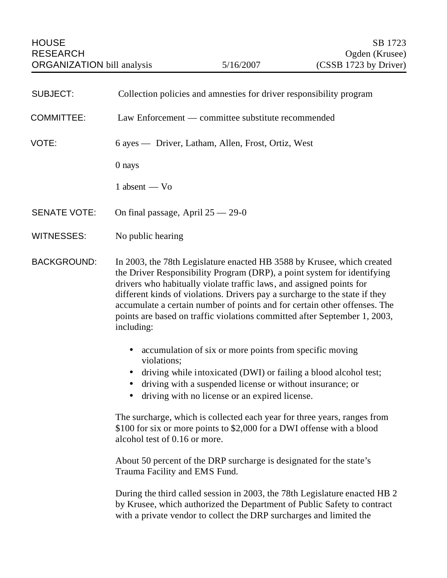| <b>SUBJECT:</b>     | Collection policies and amnesties for driver responsibility program                                                                                                                                                                                                                                                                                                                                                                                                              |
|---------------------|----------------------------------------------------------------------------------------------------------------------------------------------------------------------------------------------------------------------------------------------------------------------------------------------------------------------------------------------------------------------------------------------------------------------------------------------------------------------------------|
| <b>COMMITTEE:</b>   | Law Enforcement — committee substitute recommended                                                                                                                                                                                                                                                                                                                                                                                                                               |
| VOTE:               | 6 ayes — Driver, Latham, Allen, Frost, Ortiz, West                                                                                                                                                                                                                                                                                                                                                                                                                               |
|                     | 0 nays                                                                                                                                                                                                                                                                                                                                                                                                                                                                           |
|                     | $1$ absent $-$ Vo                                                                                                                                                                                                                                                                                                                                                                                                                                                                |
| <b>SENATE VOTE:</b> | On final passage, April 25 - 29-0                                                                                                                                                                                                                                                                                                                                                                                                                                                |
| <b>WITNESSES:</b>   | No public hearing                                                                                                                                                                                                                                                                                                                                                                                                                                                                |
| <b>BACKGROUND:</b>  | In 2003, the 78th Legislature enacted HB 3588 by Krusee, which created<br>the Driver Responsibility Program (DRP), a point system for identifying<br>drivers who habitually violate traffic laws, and assigned points for<br>different kinds of violations. Drivers pay a surcharge to the state if they<br>accumulate a certain number of points and for certain other offenses. The<br>points are based on traffic violations committed after September 1, 2003,<br>including: |
|                     | accumulation of six or more points from specific moving<br>violations;<br>driving while intoxicated (DWI) or failing a blood alcohol test;<br>driving with a suspended license or without insurance; or<br>driving with no license or an expired license.<br>$\bullet$                                                                                                                                                                                                           |
|                     | The surcharge, which is collected each year for three years, ranges from<br>\$100 for six or more points to \$2,000 for a DWI offense with a blood<br>alcohol test of 0.16 or more.                                                                                                                                                                                                                                                                                              |
|                     | About 50 percent of the DRP surcharge is designated for the state's<br>Trauma Facility and EMS Fund.                                                                                                                                                                                                                                                                                                                                                                             |

During the third called session in 2003, the 78th Legislature enacted HB 2 by Krusee, which authorized the Department of Public Safety to contract with a private vendor to collect the DRP surcharges and limited the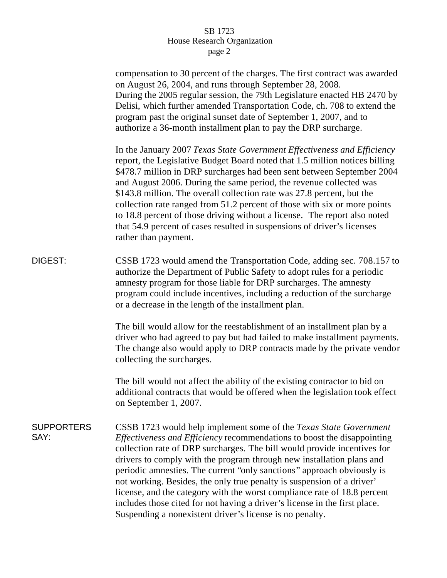## SB 1723 House Research Organization page 2

|                           | compensation to 30 percent of the charges. The first contract was awarded<br>on August 26, 2004, and runs through September 28, 2008.<br>During the 2005 regular session, the 79th Legislature enacted HB 2470 by<br>Delisi, which further amended Transportation Code, ch. 708 to extend the<br>program past the original sunset date of September 1, 2007, and to<br>authorize a 36-month installment plan to pay the DRP surcharge.                                                                                                                                                                                                                                      |
|---------------------------|-----------------------------------------------------------------------------------------------------------------------------------------------------------------------------------------------------------------------------------------------------------------------------------------------------------------------------------------------------------------------------------------------------------------------------------------------------------------------------------------------------------------------------------------------------------------------------------------------------------------------------------------------------------------------------|
|                           | In the January 2007 Texas State Government Effectiveness and Efficiency<br>report, the Legislative Budget Board noted that 1.5 million notices billing<br>\$478.7 million in DRP surcharges had been sent between September 2004<br>and August 2006. During the same period, the revenue collected was<br>\$143.8 million. The overall collection rate was 27.8 percent, but the<br>collection rate ranged from 51.2 percent of those with six or more points<br>to 18.8 percent of those driving without a license. The report also noted<br>that 54.9 percent of cases resulted in suspensions of driver's licenses<br>rather than payment.                               |
| DIGEST:                   | CSSB 1723 would amend the Transportation Code, adding sec. 708.157 to<br>authorize the Department of Public Safety to adopt rules for a periodic<br>amnesty program for those liable for DRP surcharges. The amnesty<br>program could include incentives, including a reduction of the surcharge<br>or a decrease in the length of the installment plan.                                                                                                                                                                                                                                                                                                                    |
|                           | The bill would allow for the reestablishment of an installment plan by a<br>driver who had agreed to pay but had failed to make installment payments.<br>The change also would apply to DRP contracts made by the private vendor<br>collecting the surcharges.                                                                                                                                                                                                                                                                                                                                                                                                              |
|                           | The bill would not affect the ability of the existing contractor to bid on<br>additional contracts that would be offered when the legislation took effect<br>on September 1, 2007.                                                                                                                                                                                                                                                                                                                                                                                                                                                                                          |
| <b>SUPPORTERS</b><br>SAY: | CSSB 1723 would help implement some of the Texas State Government<br>Effectiveness and Efficiency recommendations to boost the disappointing<br>collection rate of DRP surcharges. The bill would provide incentives for<br>drivers to comply with the program through new installation plans and<br>periodic amnesties. The current "only sanctions" approach obviously is<br>not working. Besides, the only true penalty is suspension of a driver'<br>license, and the category with the worst compliance rate of 18.8 percent<br>includes those cited for not having a driver's license in the first place.<br>Suspending a nonexistent driver's license is no penalty. |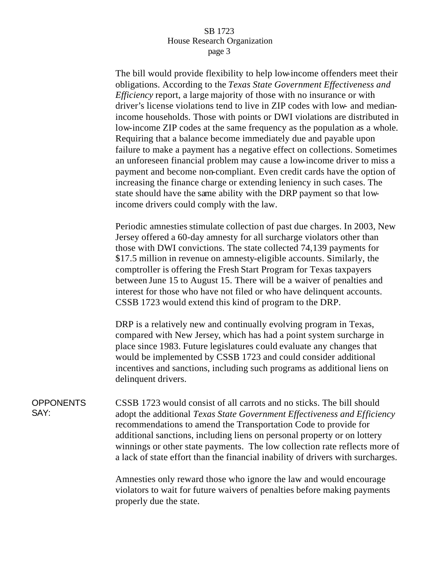## SB 1723 House Research Organization page 3

The bill would provide flexibility to help low-income offenders meet their obligations. According to the *Texas State Government Effectiveness and Efficiency* report, a large majority of those with no insurance or with driver's license violations tend to live in ZIP codes with low- and medianincome households. Those with points or DWI violations are distributed in low-income ZIP codes at the same frequency as the population as a whole. Requiring that a balance become immediately due and payable upon failure to make a payment has a negative effect on collections. Sometimes an unforeseen financial problem may cause a low-income driver to miss a payment and become non-compliant. Even credit cards have the option of increasing the finance charge or extending leniency in such cases. The state should have the same ability with the DRP payment so that lowincome drivers could comply with the law.

Periodic amnesties stimulate collection of past due charges. In 2003, New Jersey offered a 60-day amnesty for all surcharge violators other than those with DWI convictions. The state collected 74,139 payments for \$17.5 million in revenue on amnesty-eligible accounts. Similarly, the comptroller is offering the Fresh Start Program for Texas taxpayers between June 15 to August 15. There will be a waiver of penalties and interest for those who have not filed or who have delinquent accounts. CSSB 1723 would extend this kind of program to the DRP.

DRP is a relatively new and continually evolving program in Texas, compared with New Jersey, which has had a point system surcharge in place since 1983. Future legislatures could evaluate any changes that would be implemented by CSSB 1723 and could consider additional incentives and sanctions, including such programs as additional liens on delinquent drivers.

**OPPONENTS** SAY: CSSB 1723 would consist of all carrots and no sticks. The bill should adopt the additional *Texas State Government Effectiveness and Efficiency*  recommendations to amend the Transportation Code to provide for additional sanctions, including liens on personal property or on lottery winnings or other state payments. The low collection rate reflects more of a lack of state effort than the financial inability of drivers with surcharges.

> Amnesties only reward those who ignore the law and would encourage violators to wait for future waivers of penalties before making payments properly due the state.